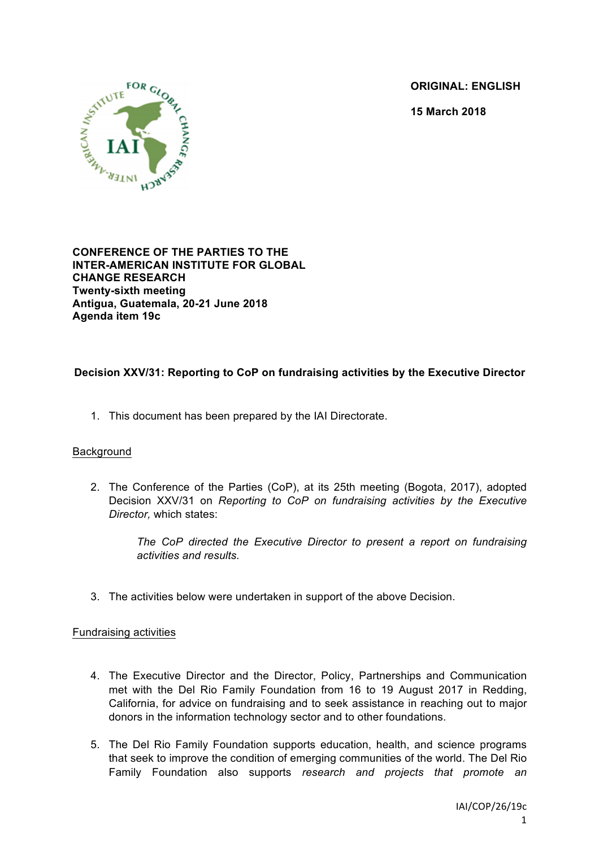**ORIGINAL: ENGLISH**

**15 March 2018**



**CONFERENCE OF THE PARTIES TO THE INTER-AMERICAN INSTITUTE FOR GLOBAL CHANGE RESEARCH Twenty-sixth meeting Antigua, Guatemala, 20-21 June 2018 Agenda item 19c**

# **Decision XXV/31: Reporting to CoP on fundraising activities by the Executive Director**

1. This document has been prepared by the IAI Directorate.

### Background

2. The Conference of the Parties (CoP), at its 25th meeting (Bogota, 2017), adopted Decision XXV/31 on *Reporting to CoP on fundraising activities by the Executive Director,* which states:

> *The CoP directed the Executive Director to present a report on fundraising activities and results.*

3. The activities below were undertaken in support of the above Decision.

### Fundraising activities

- 4. The Executive Director and the Director, Policy, Partnerships and Communication met with the Del Rio Family Foundation from 16 to 19 August 2017 in Redding, California, for advice on fundraising and to seek assistance in reaching out to major donors in the information technology sector and to other foundations.
- 5. The Del Rio Family Foundation supports education, health, and science programs that seek to improve the condition of emerging communities of the world. The Del Rio Family Foundation also supports *research and projects that promote an*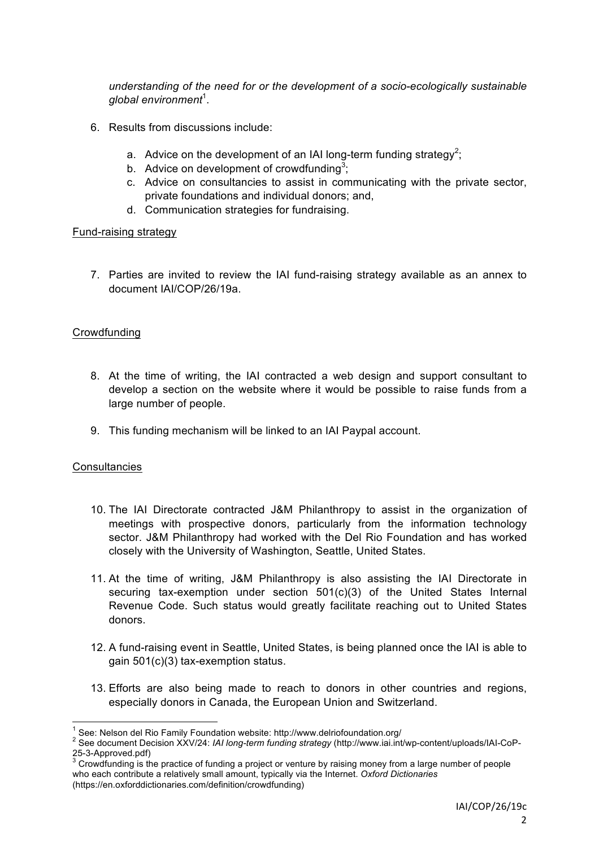*understanding of the need for or the development of a socio-ecologically sustainable global environment*<sup>1</sup> .

- 6. Results from discussions include:
	- a. Advice on the development of an IAI long-term funding strategy<sup>2</sup>;
	- b. Advice on development of crowdfunding<sup>3</sup>;
	- c. Advice on consultancies to assist in communicating with the private sector, private foundations and individual donors; and,
	- d. Communication strategies for fundraising.

### Fund-raising strategy

7. Parties are invited to review the IAI fund-raising strategy available as an annex to document IAI/COP/26/19a.

### Crowdfunding

- 8. At the time of writing, the IAI contracted a web design and support consultant to develop a section on the website where it would be possible to raise funds from a large number of people.
- 9. This funding mechanism will be linked to an IAI Paypal account.

### **Consultancies**

- 10. The IAI Directorate contracted J&M Philanthropy to assist in the organization of meetings with prospective donors, particularly from the information technology sector. J&M Philanthropy had worked with the Del Rio Foundation and has worked closely with the University of Washington, Seattle, United States.
- 11. At the time of writing, J&M Philanthropy is also assisting the IAI Directorate in securing tax-exemption under section 501(c)(3) of the United States Internal Revenue Code. Such status would greatly facilitate reaching out to United States donors.
- 12. A fund-raising event in Seattle, United States, is being planned once the IAI is able to gain 501(c)(3) tax-exemption status.
- 13. Efforts are also being made to reach to donors in other countries and regions, especially donors in Canada, the European Union and Switzerland.

<sup>&</sup>lt;sup>1</sup> See: Nelson del Rio Family Foundation website: http://www.delriofoundation.org/<br><sup>2</sup> See document Decision XXV/24: *IAI long-term funding strategy* (http://www.iai.int/wp-content/uploads/IAI-CoP-

<sup>25-3-</sup>Approved.pdf)<br>3 Crowdfunding is the practice of funding a project or venture by raising money from a large number of people<br>3 Crowdfunding is the practice of funding a project or venture by raising money from a large who each contribute a relatively small amount, typically via the Internet. *Oxford Dictionaries* (https://en.oxforddictionaries.com/definition/crowdfunding)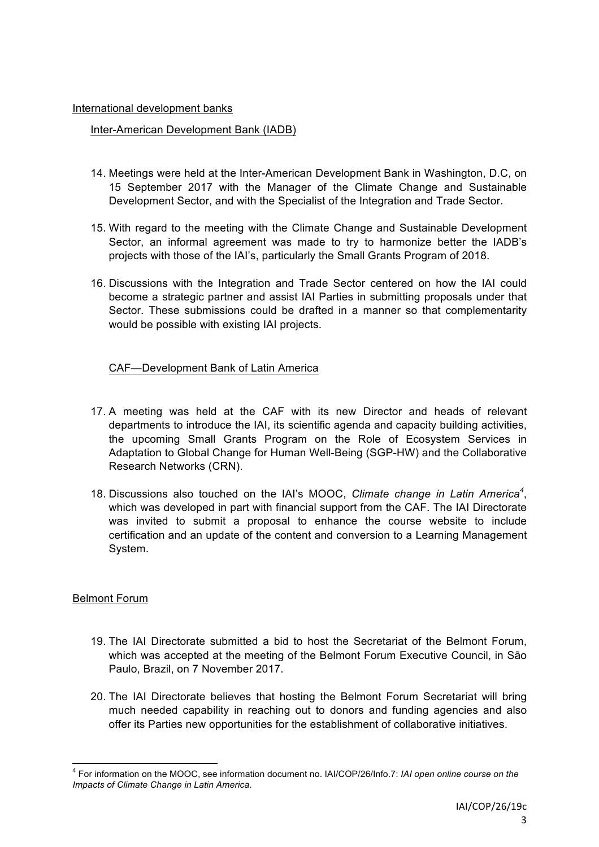#### International development banks

### Inter-American Development Bank (IADB)

- 14. Meetings were held at the Inter-American Development Bank in Washington, D.C, on 15 September 2017 with the Manager of the Climate Change and Sustainable Development Sector, and with the Specialist of the Integration and Trade Sector.
- 15. With regard to the meeting with the Climate Change and Sustainable Development Sector, an informal agreement was made to try to harmonize better the IADB's projects with those of the IAI's, particularly the Small Grants Program of 2018.
- 16. Discussions with the Integration and Trade Sector centered on how the IAI could become a strategic partner and assist IAI Parties in submitting proposals under that Sector. These submissions could be drafted in a manner so that complementarity would be possible with existing IAI projects.

# CAF—Development Bank of Latin America

- 17. A meeting was held at the CAF with its new Director and heads of relevant departments to introduce the IAI, its scientific agenda and capacity building activities, the upcoming Small Grants Program on the Role of Ecosystem Services in Adaptation to Global Change for Human Well-Being (SGP-HW) and the Collaborative Research Networks (CRN).
- 18. Discussions also touched on the IAI's MOOC, Climate change in Latin America<sup>4</sup>, which was developed in part with financial support from the CAF. The IAI Directorate was invited to submit a proposal to enhance the course website to include certification and an update of the content and conversion to a Learning Management System.

### Belmont Forum

- 19. The IAI Directorate submitted a bid to host the Secretariat of the Belmont Forum, which was accepted at the meeting of the Belmont Forum Executive Council, in São Paulo, Brazil, on 7 November 2017.
- 20. The IAI Directorate believes that hosting the Belmont Forum Secretariat will bring much needed capability in reaching out to donors and funding agencies and also offer its Parties new opportunities for the establishment of collaborative initiatives.

 <sup>4</sup> For information on the MOOC, see information document no. IAI/COP/26/Info.7: *IAI open online course on the Impacts of Climate Change in Latin America*.